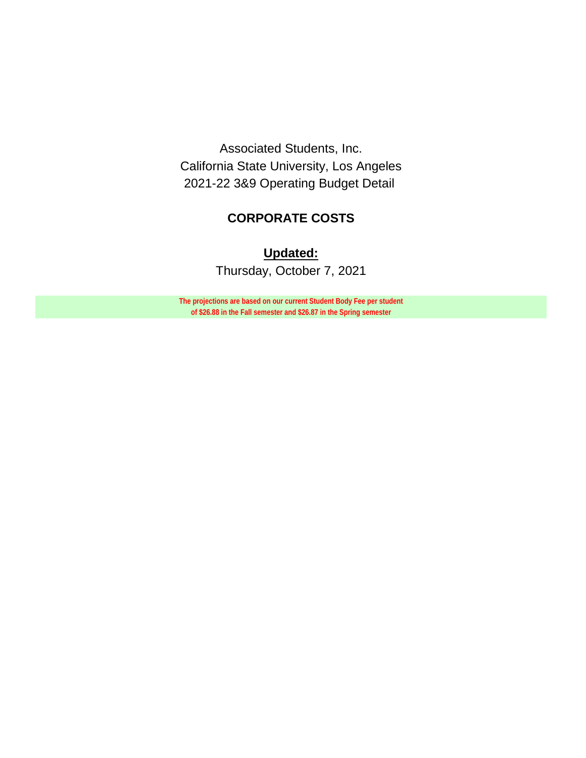Associated Students, Inc. California State University, Los Angeles 2021-22 3&9 Operating Budget Detail

## **CORPORATE COSTS**

# **Updated:**

Thursday, October 7, 2021

**The projections are based on our current Student Body Fee per student of \$26.88 in the Fall semester and \$26.87 in the Spring semester**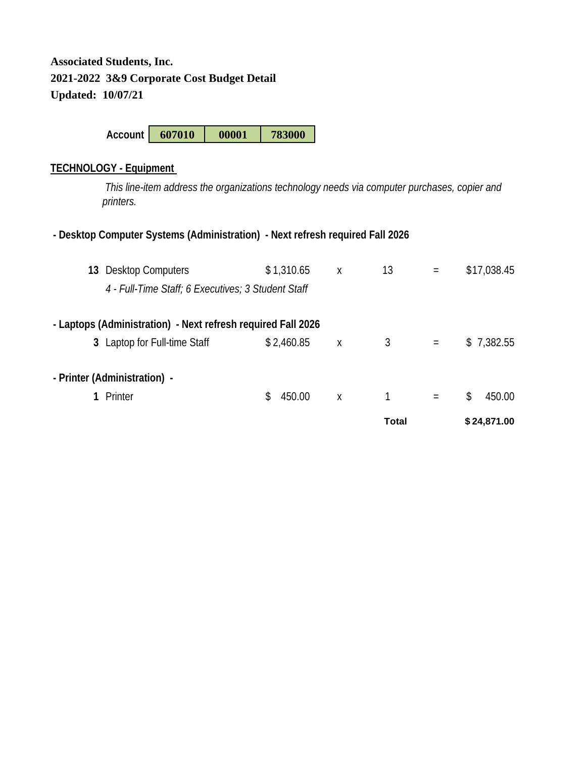**Account 607010 00001 783000**

### **TECHNOLOGY - Equipment**

 *This line-item address the organizations technology needs via computer purchases, copier and printers.* 

## **- Desktop Computer Systems (Administration) - Next refresh required Fall 2026**

|                              |     |        |                                                                                                                                                | Total |     |    | \$24,871.00 |
|------------------------------|-----|--------|------------------------------------------------------------------------------------------------------------------------------------------------|-------|-----|----|-------------|
| Printer                      | \$. | 450.00 | X                                                                                                                                              | 1     | $=$ | \$ | 450.00      |
| - Printer (Administration) - |     |        |                                                                                                                                                |       |     |    |             |
| 3 Laptop for Full-time Staff |     |        | Χ                                                                                                                                              | 3     | $=$ |    | \$7,382.55  |
|                              |     |        |                                                                                                                                                |       |     |    |             |
|                              |     |        |                                                                                                                                                |       |     |    |             |
| 13 Desktop Computers         |     |        | X                                                                                                                                              | 13    | $=$ |    | \$17,038.45 |
|                              |     |        | \$1,310.65<br>4 - Full-Time Staff; 6 Executives; 3 Student Staff<br>- Laptops (Administration) - Next refresh required Fall 2026<br>\$2,460.85 |       |     |    |             |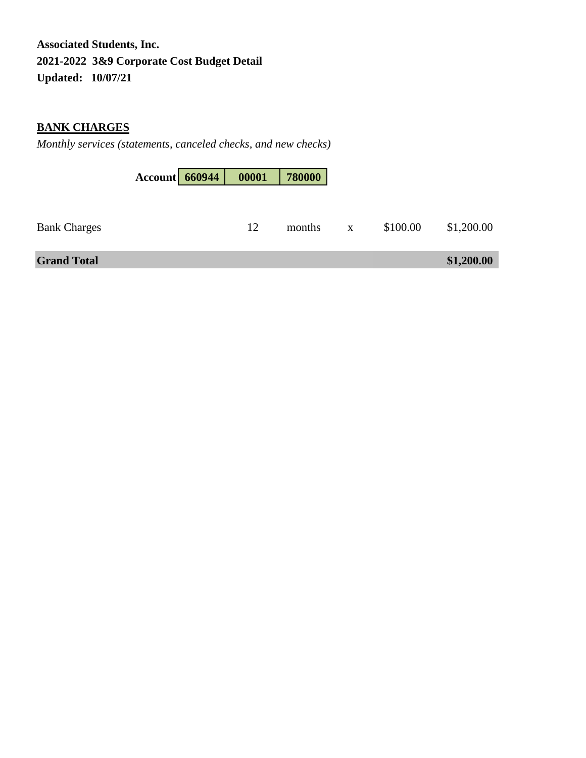## **BANK CHARGES**

*Monthly services (statements, canceled checks, and new checks)*

|                     | Account 660944 | 00001 | 780000 |              |          |            |
|---------------------|----------------|-------|--------|--------------|----------|------------|
| <b>Bank Charges</b> |                | 12    | months | $\mathbf{X}$ | \$100.00 | \$1,200.00 |
| <b>Grand Total</b>  |                |       |        |              |          | \$1,200.00 |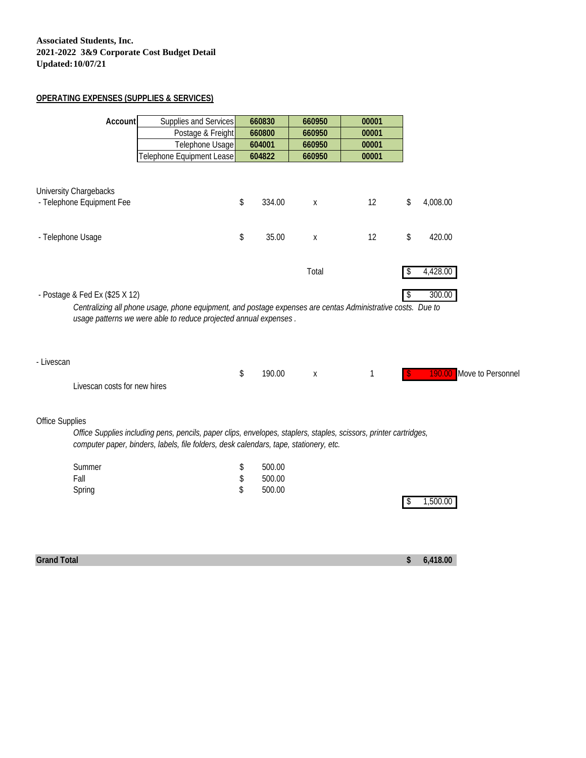#### **OPERATING EXPENSES (SUPPLIES & SERVICES)**

| Account                                             | Supplies and Services                                                                                                                                                                                      | 660830       | 660950 | 00001 |    |                            |
|-----------------------------------------------------|------------------------------------------------------------------------------------------------------------------------------------------------------------------------------------------------------------|--------------|--------|-------|----|----------------------------|
|                                                     | Postage & Freight                                                                                                                                                                                          | 660800       | 660950 | 00001 |    |                            |
|                                                     | Telephone Usage                                                                                                                                                                                            | 604001       | 660950 | 00001 |    |                            |
|                                                     | Telephone Equipment Lease                                                                                                                                                                                  | 604822       | 660950 | 00001 |    |                            |
| University Chargebacks<br>- Telephone Equipment Fee |                                                                                                                                                                                                            | \$<br>334.00 | X      | 12    | \$ | 4,008.00                   |
| - Telephone Usage                                   |                                                                                                                                                                                                            | \$<br>35.00  | X      | 12    | \$ | 420.00                     |
|                                                     |                                                                                                                                                                                                            |              | Total  |       | S  | 4,428.00                   |
| - Postage & Fed Ex (\$25 X 12)                      | Centralizing all phone usage, phone equipment, and postage expenses are centas Administrative costs. Due to<br>usage patterns we were able to reduce projected annual expenses.                            |              |        |       | \$ | 300.00                     |
| - Livescan                                          |                                                                                                                                                                                                            |              |        |       |    |                            |
| Livescan costs for new hires                        |                                                                                                                                                                                                            | \$<br>190.00 | X      | 1     |    | Move to Personne<br>190.00 |
| Office Supplies                                     |                                                                                                                                                                                                            |              |        |       |    |                            |
|                                                     | Office Supplies including pens, pencils, paper clips, envelopes, staplers, staples, scissors, printer cartridges,<br>computer paper, binders, labels, file folders, desk calendars, tape, stationery, etc. |              |        |       |    |                            |
| Summer                                              |                                                                                                                                                                                                            | \$<br>500.00 |        |       |    |                            |
| Fall                                                |                                                                                                                                                                                                            | \$<br>500.00 |        |       |    |                            |
| Spring                                              |                                                                                                                                                                                                            | \$<br>500.00 |        |       | S  | 1,500.00                   |
|                                                     |                                                                                                                                                                                                            |              |        |       |    |                            |

**Grand Total \$ 6,418.00**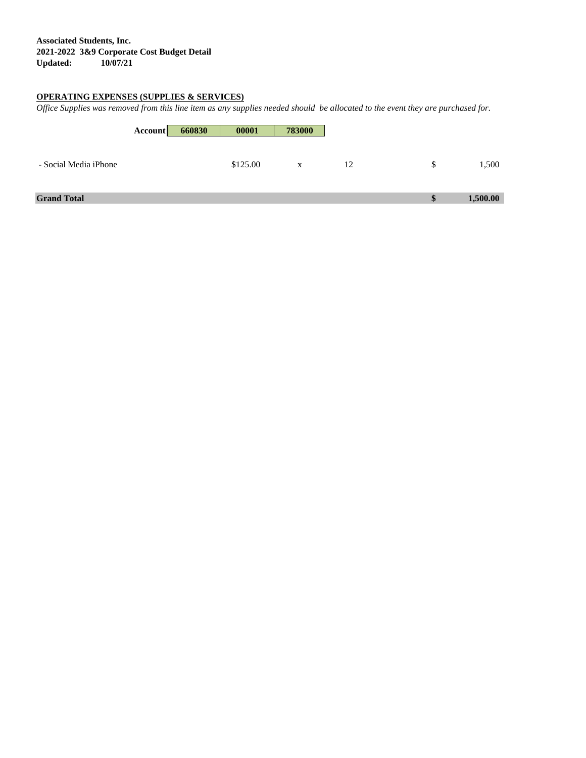#### **OPERATING EXPENSES (SUPPLIES & SERVICES)**

*Office Supplies was removed from this line item as any supplies needed should be allocated to the event they are purchased for.*

|                       | <b>Account</b> | 660830 | 00001    | 783000 |    |          |          |
|-----------------------|----------------|--------|----------|--------|----|----------|----------|
| - Social Media iPhone |                |        | \$125.00 | X      | 12 | S        | 1,500    |
| <b>Grand Total</b>    |                |        |          |        |    | <b>S</b> | 1,500.00 |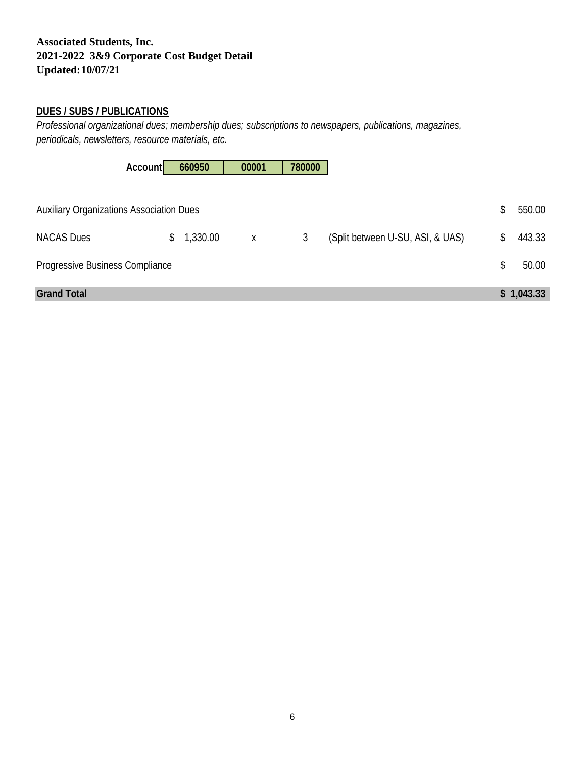### **DUES / SUBS / PUBLICATIONS**

*Professional organizational dues; membership dues; subscriptions to newspapers, publications, magazines, periodicals, newsletters, resource materials, etc.* 

|                                                 | <b>Account</b> | 660950   | 00001 | 780000 |                                  |              |
|-------------------------------------------------|----------------|----------|-------|--------|----------------------------------|--------------|
| <b>Auxiliary Organizations Association Dues</b> |                |          |       |        |                                  | \$<br>550.00 |
| <b>NACAS Dues</b>                               | \$             | 1,330.00 | X     | 3      | (Split between U-SU, ASI, & UAS) | \$<br>443.33 |
| Progressive Business Compliance                 |                |          |       |        |                                  | \$<br>50.00  |
| <b>Grand Total</b>                              |                |          |       |        |                                  | \$1,043.33   |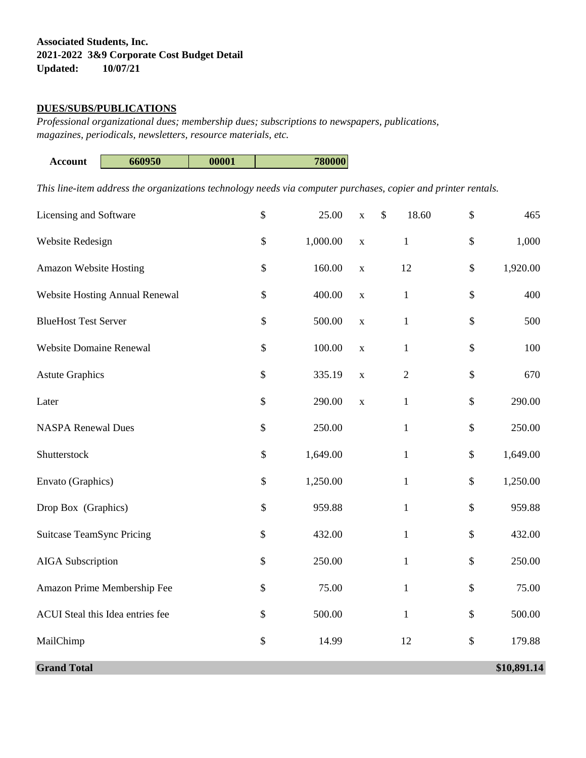#### **DUES/SUBS/PUBLICATIONS**

*Professional organizational dues; membership dues; subscriptions to newspapers, publications, magazines, periodicals, newsletters, resource materials, etc.* 

| Account | 660950 | 00001 | 780000 |
|---------|--------|-------|--------|
|         |        |       |        |

*This line-item address the organizations technology needs via computer purchases, copier and printer rentals.* 

| Licensing and Software           | $\boldsymbol{\mathsf{S}}$ | 25.00    | $\mathbf X$ | $\boldsymbol{\mathsf{S}}$<br>18.60 | $\$\,$       | 465         |
|----------------------------------|---------------------------|----------|-------------|------------------------------------|--------------|-------------|
| Website Redesign                 | \$                        | 1,000.00 | $\mathbf X$ | $\,1$                              | $\$$         | 1,000       |
| Amazon Website Hosting           | \$                        | 160.00   | $\mathbf X$ | 12                                 | $\$$         | 1,920.00    |
| Website Hosting Annual Renewal   | \$                        | 400.00   | $\mathbf X$ | $\,1$                              | \$           | 400         |
| <b>BlueHost Test Server</b>      | \$                        | 500.00   | $\mathbf X$ | $\mathbf{1}$                       | \$           | 500         |
| <b>Website Domaine Renewal</b>   | \$                        | 100.00   | $\mathbf X$ | $\mathbf{1}$                       | \$           | 100         |
| <b>Astute Graphics</b>           | $\mathbb{S}$              | 335.19   | $\mathbf X$ | $\mathbf{2}$                       | \$           | 670         |
| Later                            | $\mathbb{S}$              | 290.00   | $\mathbf X$ | $\,1$                              | $\mathbb{S}$ | 290.00      |
| <b>NASPA Renewal Dues</b>        | $\boldsymbol{\mathsf{S}}$ | 250.00   |             | $\mathbf{1}$                       | $\mathbb{S}$ | 250.00      |
| Shutterstock                     | \$                        | 1,649.00 |             | $\mathbf{1}$                       | $\$$         | 1,649.00    |
| Envato (Graphics)                | $\$$                      | 1,250.00 |             | $\mathbf{1}$                       | $\$$         | 1,250.00    |
| Drop Box (Graphics)              | \$                        | 959.88   |             | $\mathbf{1}$                       | $\$$         | 959.88      |
| <b>Suitcase TeamSync Pricing</b> | \$                        | 432.00   |             | $\mathbf{1}$                       | $\$$         | 432.00      |
| <b>AIGA</b> Subscription         | \$                        | 250.00   |             | $\mathbf{1}$                       | \$           | 250.00      |
| Amazon Prime Membership Fee      | \$                        | 75.00    |             | $\mathbf{1}$                       | \$           | 75.00       |
| ACUI Steal this Idea entries fee | \$                        | 500.00   |             | $\mathbf{1}$                       | $\$$         | 500.00      |
| MailChimp                        | \$                        | 14.99    |             | 12                                 | $\$$         | 179.88      |
| <b>Grand Total</b>               |                           |          |             |                                    |              | \$10,891.14 |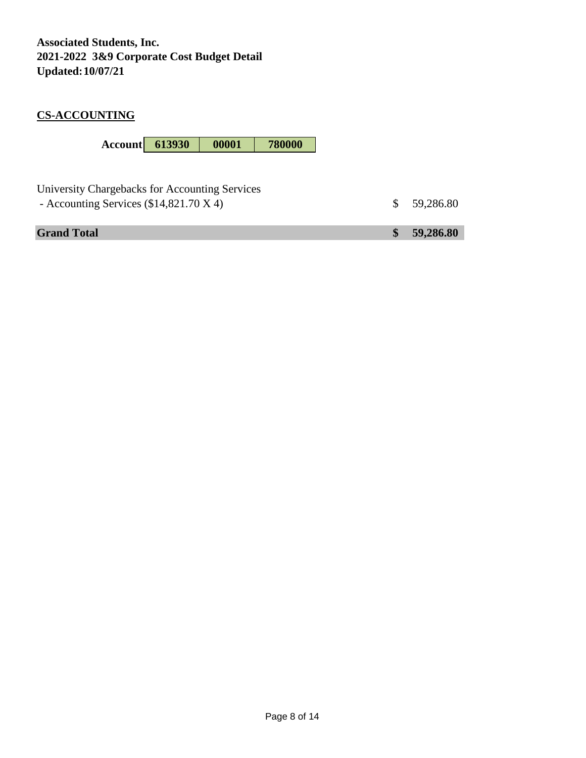### **CS-ACCOUNTING**

**Account 613930 00001 780000**

| University Chargebacks for Accounting Services<br>- Accounting Services $(\$14,821.70 X 4)$ | \$59,286.80 |
|---------------------------------------------------------------------------------------------|-------------|
| <b>Grand Total</b>                                                                          | \$59,286.80 |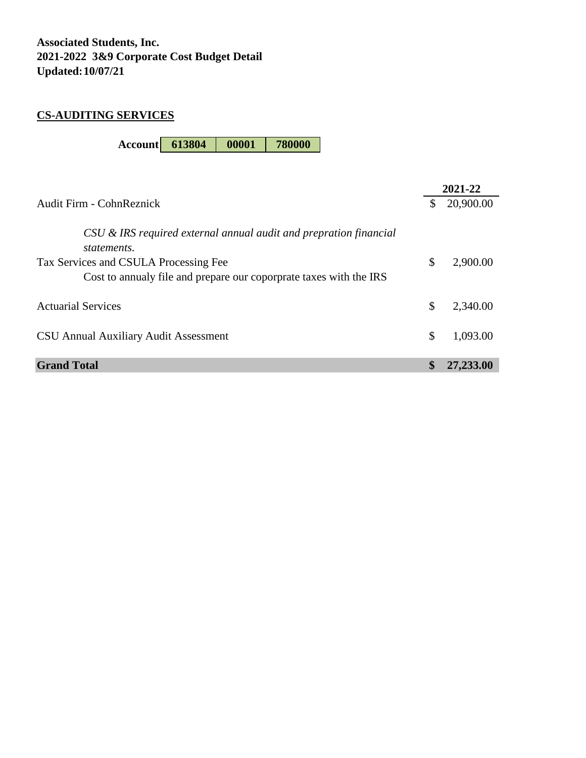### **CS-AUDITING SERVICES**

**Account 613804 00001 780000**

| 20,900.00<br>Audit Firm - CohnReznick<br>\$<br>CSU & IRS required external annual audit and prepration financial<br>statements.<br>\$<br>2,900.00<br>Tax Services and CSULA Processing Fee<br>Cost to annualy file and prepare our coporprate taxes with the IRS<br><b>Actuarial Services</b><br>\$<br>2,340.00<br>\$<br>1,093.00<br><b>CSU Annual Auxiliary Audit Assessment</b><br><b>Grand Total</b><br>\$<br>27,233.00 |  | 2021-22 |
|----------------------------------------------------------------------------------------------------------------------------------------------------------------------------------------------------------------------------------------------------------------------------------------------------------------------------------------------------------------------------------------------------------------------------|--|---------|
|                                                                                                                                                                                                                                                                                                                                                                                                                            |  |         |
|                                                                                                                                                                                                                                                                                                                                                                                                                            |  |         |
|                                                                                                                                                                                                                                                                                                                                                                                                                            |  |         |
|                                                                                                                                                                                                                                                                                                                                                                                                                            |  |         |
|                                                                                                                                                                                                                                                                                                                                                                                                                            |  |         |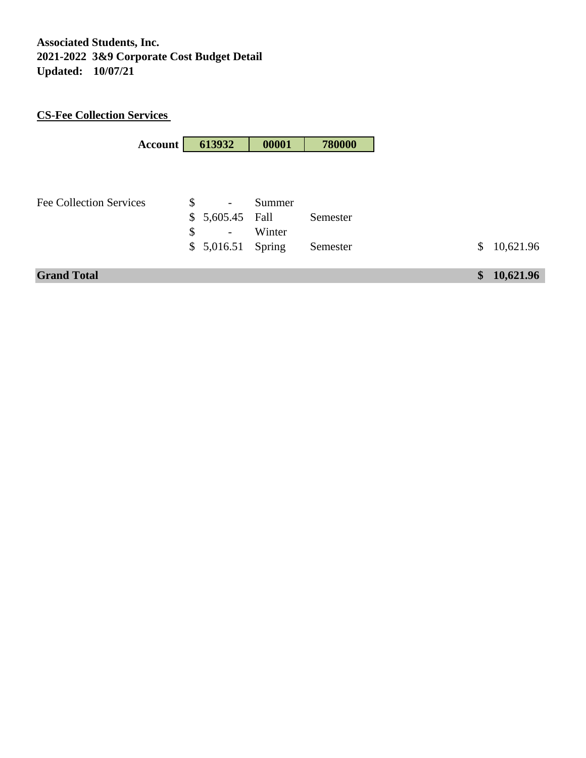# **CS-Fee Collection Services**

| Account                        |              | 613932                   | 00001  | 780000   |
|--------------------------------|--------------|--------------------------|--------|----------|
|                                |              |                          |        |          |
|                                |              |                          |        |          |
|                                |              |                          |        |          |
| <b>Fee Collection Services</b> | \$           | $\overline{\phantom{a}}$ | Summer |          |
|                                | $\mathbb{S}$ | 5,605.45 Fall            |        | Semester |
|                                | \$           | $\overline{\phantom{a}}$ | Winter |          |
|                                |              | \$5,016.51               | Spring | Semester |
|                                |              |                          |        |          |
| <b>Grand Total</b>             |              |                          |        |          |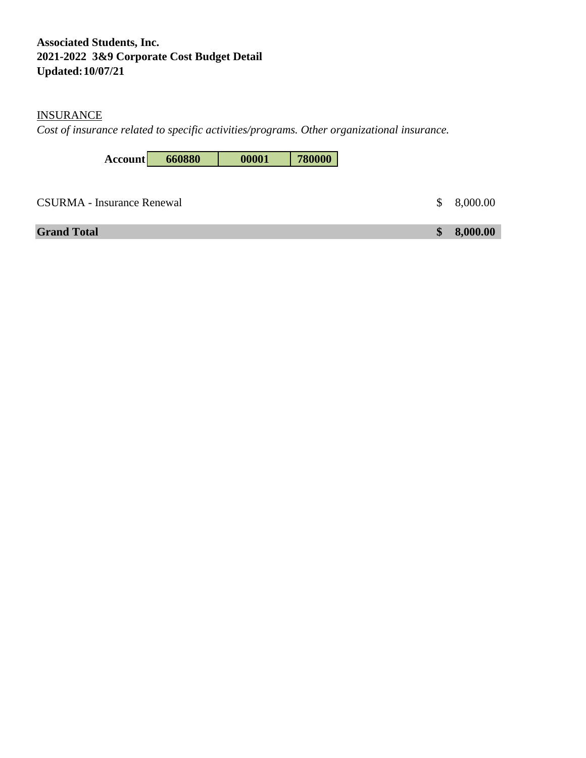## **INSURANCE**

*Cost of insurance related to specific activities/programs. Other organizational insurance.*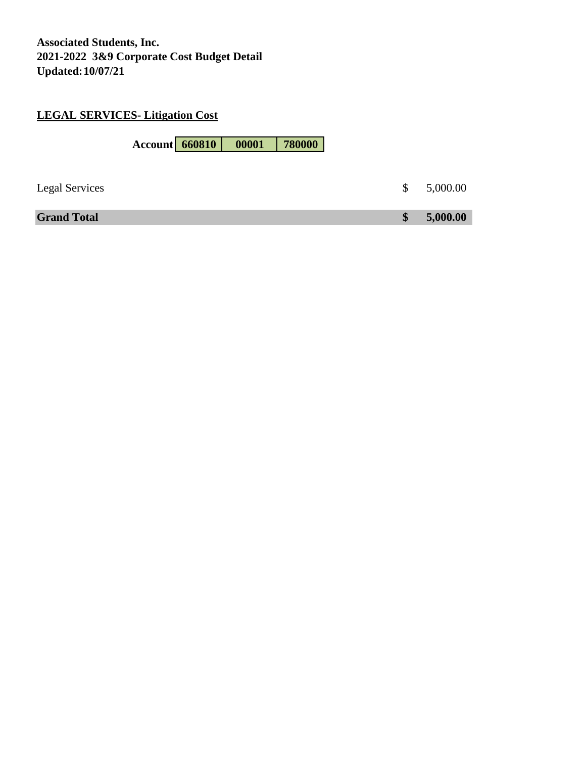### **LEGAL SERVICES- Litigation Cost**

**Account 660810 00001 780000** Legal Services  $\qquad \qquad$  5,000.00 **Grand Total \$ 5,000.00**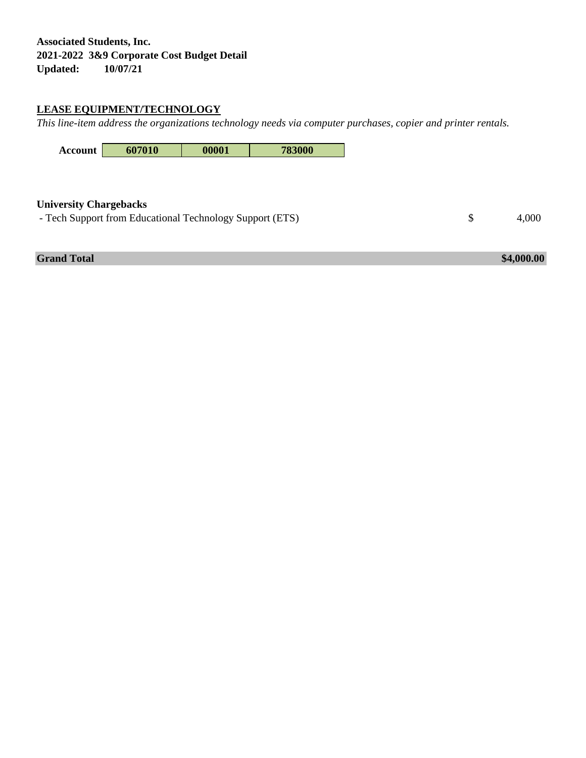## **LEASE EQUIPMENT/TECHNOLOGY**

*This line-item address the organizations technology needs via computer purchases, copier and printer rentals.* 



#### **University Chargebacks**

- Tech Support from Educational Technology Support (ETS)  $$ 4,000$ 

**Grand Total \$4,000.00**